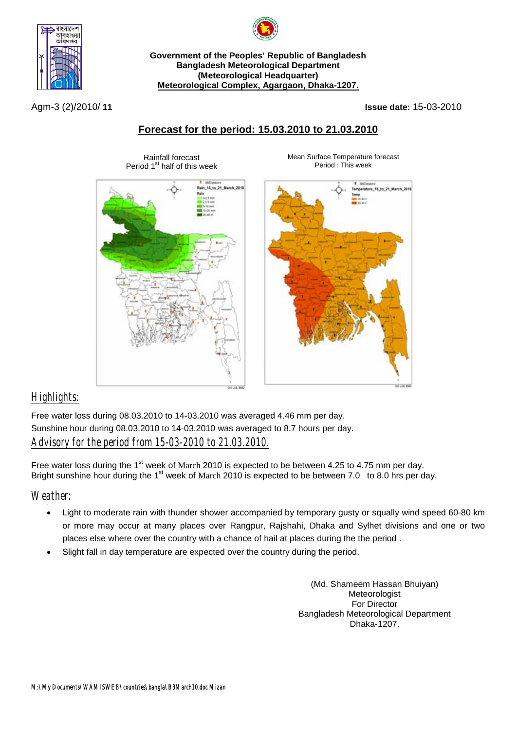

**Government of the Peoples' Republic of Bangladesh Bangladesh Meteorological Department (Meteorological Headquarter) Meteorological Complex, Agargaon, Dhaka-1207.**

Agm-3 (2)/2010/ **11 Issue date:** 15-03-2010

## **Forecast for the period: 15.03.2010 to 21.03.2010**



Rainfall forecast

Mean Surface Temperature forecast Period : This week



# *Highlights:*

Free water loss during 08.03.2010 to 14-03.2010 was averaged 4.46 mm per day. Sunshine hour during 08.03.2010 to 14-03.2010 was averaged to 8.7 hours per day. *Advisory for the period from 15-03-2010 to 21.03.2010.*

Free water loss during the 1<sup>st</sup> week of March 2010 is expected to be between 4.25 to 4.75 mm per day. Bright sunshine hour during the 1<sup>st</sup> week of March 2010 is expected to be between 7.0 to 8.0 hrs per day.

### *Weather:*

- Light to moderate rain with thunder shower accompanied by temporary gusty or squally wind speed 60-80 km or more may occur at many places over Rangpur, Rajshahi, Dhaka and Sylhet divisions and one or two places else where over the country with a chance of hail at places during the the period .
- Slight fall in day temperature are expected over the country during the period.

(Md. Shameem Hassan Bhuiyan) **Meteorologist** For Director Bangladesh Meteorological Department Dhaka-1207.